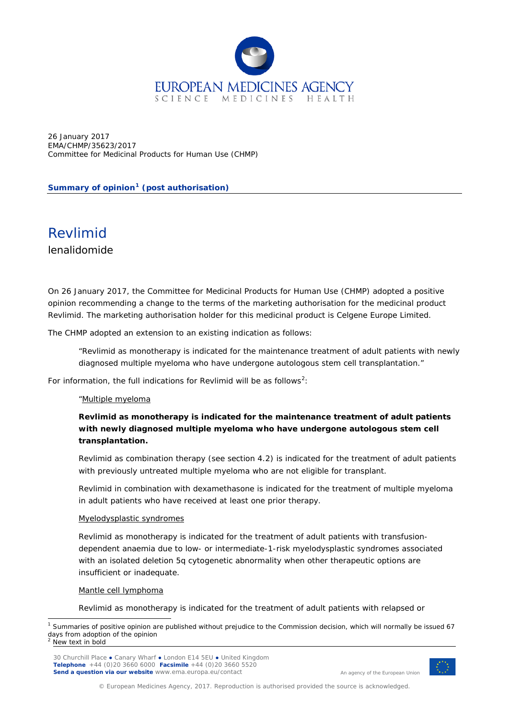

26 January 2017 EMA/CHMP/35623/2017 Committee for Medicinal Products for Human Use (CHMP)

## **Summary of opinion[1](#page-0-0) (post authorisation)**

# Revlimid

lenalidomide

On 26 January 2017, the Committee for Medicinal Products for Human Use (CHMP) adopted a positive opinion recommending a change to the terms of the marketing authorisation for the medicinal product Revlimid. The marketing authorisation holder for this medicinal product is Celgene Europe Limited.

The CHMP adopted an extension to an existing indication as follows:

"Revlimid as monotherapy is indicated for the maintenance treatment of adult patients with newly diagnosed multiple myeloma who have undergone autologous stem cell transplantation."

For information, the full indications for Revlimid will be as follows<sup>[2](#page-0-1)</sup>:

## "Multiple myeloma

# **Revlimid as monotherapy is indicated for the maintenance treatment of adult patients with newly diagnosed multiple myeloma who have undergone autologous stem cell transplantation.**

Revlimid as combination therapy (see section 4.2) is indicated for the treatment of adult patients with previously untreated multiple myeloma who are not eligible for transplant.

Revlimid in combination with dexamethasone is indicated for the treatment of multiple myeloma in adult patients who have received at least one prior therapy.

### Myelodysplastic syndromes

Revlimid as monotherapy is indicated for the treatment of adult patients with transfusiondependent anaemia due to low- or intermediate-1-risk myelodysplastic syndromes associated with an isolated deletion 5q cytogenetic abnormality when other therapeutic options are insufficient or inadequate.

### Mantle cell lymphoma

Revlimid as monotherapy is indicated for the treatment of adult patients with relapsed or

<span id="page-0-1"></span><span id="page-0-0"></span>

30 Churchill Place **●** Canary Wharf **●** London E14 5EU **●** United Kingdom **Telephone** +44 (0)20 3660 6000 **Facsimile** +44 (0)20 3660 5520 **Send a question via our website** www.ema.europa.eu/contact



An agency of the European Union